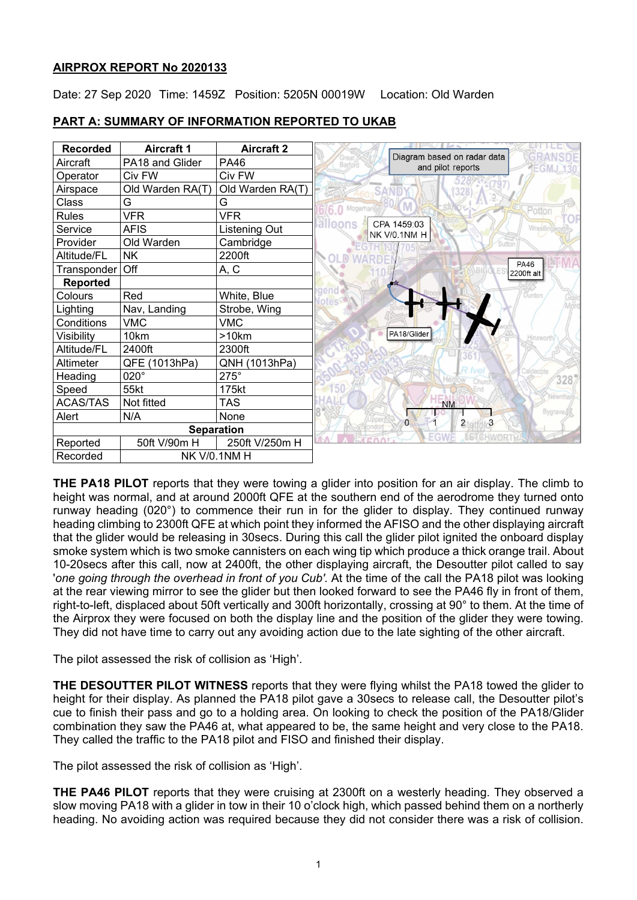# **AIRPROX REPORT No 2020133**

Date: 27 Sep 2020 Time: 1459Z Position: 5205N 00019W Location: Old Warden



# **PART A: SUMMARY OF INFORMATION REPORTED TO UKAB**

**THE PA18 PILOT** reports that they were towing a glider into position for an air display. The climb to height was normal, and at around 2000ft QFE at the southern end of the aerodrome they turned onto runway heading (020°) to commence their run in for the glider to display. They continued runway heading climbing to 2300ft QFE at which point they informed the AFISO and the other displaying aircraft that the glider would be releasing in 30secs. During this call the glider pilot ignited the onboard display smoke system which is two smoke cannisters on each wing tip which produce a thick orange trail. About 10-20secs after this call, now at 2400ft, the other displaying aircraft, the Desoutter pilot called to say 'one going through the overhead in front of you Cub'. At the time of the call the PA18 pilot was looking at the rear viewing mirror to see the glider but then looked forward to see the PA46 fly in front of them, right-to-left, displaced about 50ft vertically and 300ft horizontally, crossing at 90° to them. At the time of the Airprox they were focused on both the display line and the position of the glider they were towing. They did not have time to carry out any avoiding action due to the late sighting of the other aircraft.

The pilot assessed the risk of collision as 'High'.

**THE DESOUTTER PILOT WITNESS** reports that they were flying whilst the PA18 towed the glider to height for their display. As planned the PA18 pilot gave a 30secs to release call, the Desoutter pilot's cue to finish their pass and go to a holding area. On looking to check the position of the PA18/Glider combination they saw the PA46 at, what appeared to be, the same height and very close to the PA18. They called the traffic to the PA18 pilot and FISO and finished their display.

The pilot assessed the risk of collision as 'High'.

**THE PA46 PILOT** reports that they were cruising at 2300ft on a westerly heading. They observed a slow moving PA18 with a glider in tow in their 10 o'clock high, which passed behind them on a northerly heading. No avoiding action was required because they did not consider there was a risk of collision.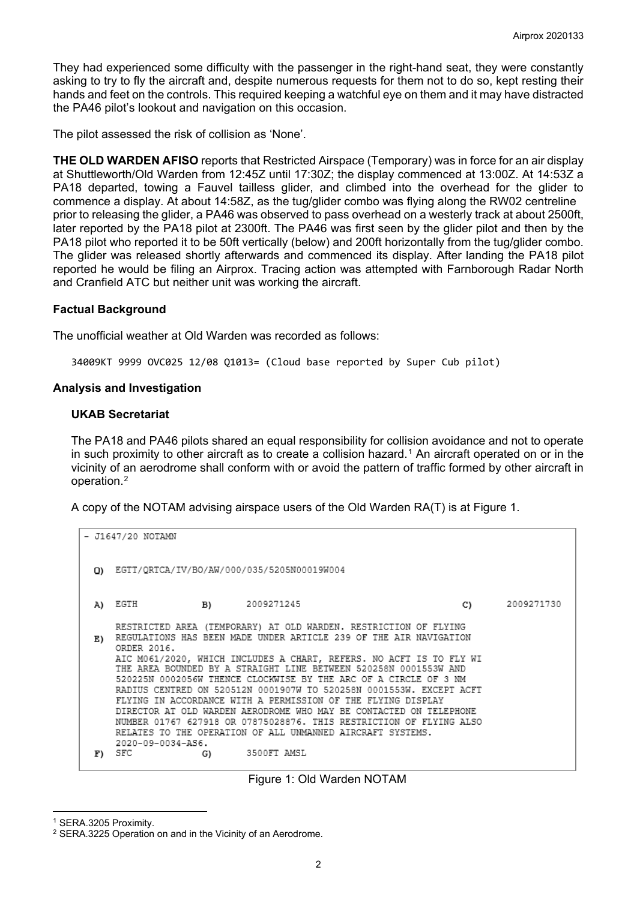They had experienced some difficulty with the passenger in the right-hand seat, they were constantly asking to try to fly the aircraft and, despite numerous requests for them not to do so, kept resting their hands and feet on the controls. This required keeping a watchful eye on them and it may have distracted the PA46 pilot's lookout and navigation on this occasion.

The pilot assessed the risk of collision as 'None'.

**THE OLD WARDEN AFISO** reports that Restricted Airspace (Temporary) was in force for an air display at Shuttleworth/Old Warden from 12:45Z until 17:30Z; the display commenced at 13:00Z. At 14:53Z a PA18 departed, towing a Fauvel tailless glider, and climbed into the overhead for the glider to commence a display. At about 14:58Z, as the tug/glider combo was flying along the RW02 centreline prior to releasing the glider, a PA46 was observed to pass overhead on a westerly track at about 2500ft, later reported by the PA18 pilot at 2300ft. The PA46 was first seen by the glider pilot and then by the PA18 pilot who reported it to be 50ft vertically (below) and 200ft horizontally from the tug/glider combo. The glider was released shortly afterwards and commenced its display. After landing the PA18 pilot reported he would be filing an Airprox. Tracing action was attempted with Farnborough Radar North and Cranfield ATC but neither unit was working the aircraft.

### **Factual Background**

The unofficial weather at Old Warden was recorded as follows:

34009KT 9999 OVC025 12/08 Q1013= (Cloud base reported by Super Cub pilot)

#### **Analysis and Investigation**

### **UKAB Secretariat**

The PA18 and PA46 pilots shared an equal responsibility for collision avoidance and not to operate in such proximity to other aircraft as to create a collision hazard.[1](#page-1-0) An aircraft operated on or in the vicinity of an aerodrome shall conform with or avoid the pattern of traffic formed by other aircraft in operation.[2](#page-1-1)

A copy of the NOTAM advising airspace users of the Old Warden RA(T) is at Figure 1.

```
- J1647/20 NOTAMN
0) EGTT/QRTCA/IV/BO/AW/000/035/5205N00019W004
A) EGTH
                    B)
                            2009271245
                                                                    C)
                                                                            2009271730
    RESTRICTED AREA (TEMPORARY) AT OLD WARDEN. RESTRICTION OF FLYING
E) REGULATIONS HAS BEEN MADE UNDER ARTICLE 239 OF THE AIR NAVIGATION
    ORDER 2016.
    AIC M061/2020, WHICH INCLUDES A CHART, REFERS. NO ACFT IS TO FLY WI
    THE AREA BOUNDED BY A STRAIGHT LINE BETWEEN 520258N 0001553W AND
    520225N 0002056W THENCE CLOCKWISE BY THE ARC OF A CIRCLE OF 3 NM
    RADIUS CENTRED ON 520512N 0001907W TO 520258N 0001553W. EXCEPT ACFT
    FLYING IN ACCORDANCE WITH A PERMISSION OF THE FLYING DISPLAY
    DIRECTOR AT OLD WARDEN AERODROME WHO MAY BE CONTACTED ON TELEPHONE
    NUMBER 01767 627918 OR 07875028876. THIS RESTRICTION OF FLYING ALSO
    RELATES TO THE OPERATION OF ALL UNMANNED AIRCRAFT SYSTEMS.
    2020-09-0034-AS6.
                            3500FT AMSL
F) SFC
                    G)
```
#### Figure 1: Old Warden NOTAM

<span id="page-1-0"></span><sup>1</sup> SERA.3205 Proximity.

<span id="page-1-1"></span><sup>2</sup> SERA.3225 Operation on and in the Vicinity of an Aerodrome.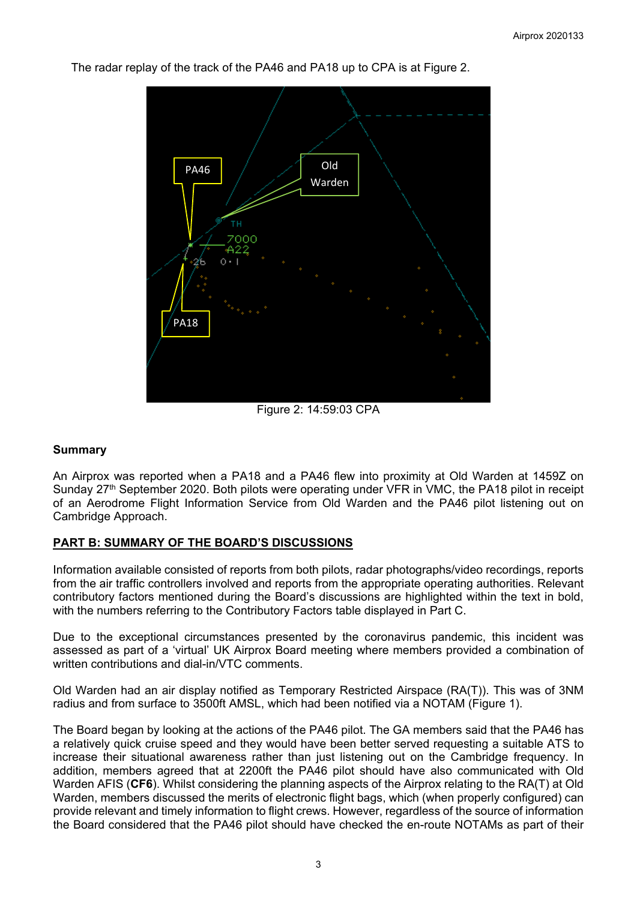

The radar replay of the track of the PA46 and PA18 up to CPA is at Figure 2.

Figure 2: 14:59:03 CPA

### **Summary**

An Airprox was reported when a PA18 and a PA46 flew into proximity at Old Warden at 1459Z on Sunday 27<sup>th</sup> September 2020. Both pilots were operating under VFR in VMC, the PA18 pilot in receipt of an Aerodrome Flight Information Service from Old Warden and the PA46 pilot listening out on Cambridge Approach.

# **PART B: SUMMARY OF THE BOARD'S DISCUSSIONS**

Information available consisted of reports from both pilots, radar photographs/video recordings, reports from the air traffic controllers involved and reports from the appropriate operating authorities. Relevant contributory factors mentioned during the Board's discussions are highlighted within the text in bold, with the numbers referring to the Contributory Factors table displayed in Part C.

Due to the exceptional circumstances presented by the coronavirus pandemic, this incident was assessed as part of a 'virtual' UK Airprox Board meeting where members provided a combination of written contributions and dial-in/VTC comments.

Old Warden had an air display notified as Temporary Restricted Airspace (RA(T)). This was of 3NM radius and from surface to 3500ft AMSL, which had been notified via a NOTAM (Figure 1).

The Board began by looking at the actions of the PA46 pilot. The GA members said that the PA46 has a relatively quick cruise speed and they would have been better served requesting a suitable ATS to increase their situational awareness rather than just listening out on the Cambridge frequency. In addition, members agreed that at 2200ft the PA46 pilot should have also communicated with Old Warden AFIS (**CF6**). Whilst considering the planning aspects of the Airprox relating to the RA(T) at Old Warden, members discussed the merits of electronic flight bags, which (when properly configured) can provide relevant and timely information to flight crews. However, regardless of the source of information the Board considered that the PA46 pilot should have checked the en-route NOTAMs as part of their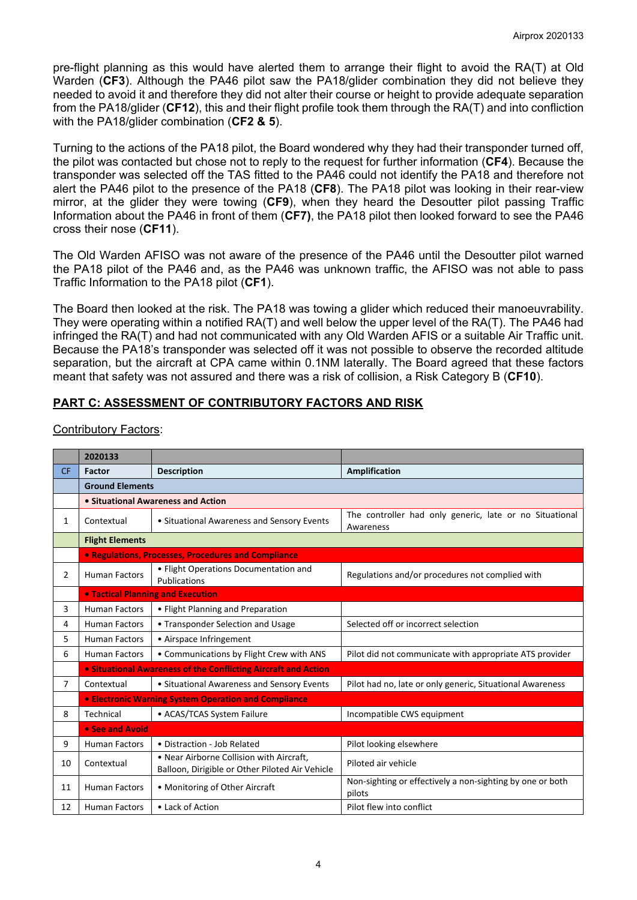pre-flight planning as this would have alerted them to arrange their flight to avoid the RA(T) at Old Warden (**CF3**). Although the PA46 pilot saw the PA18/glider combination they did not believe they needed to avoid it and therefore they did not alter their course or height to provide adequate separation from the PA18/glider (**CF12**), this and their flight profile took them through the RA(T) and into confliction with the PA18/glider combination (**CF2 & 5**).

Turning to the actions of the PA18 pilot, the Board wondered why they had their transponder turned off, the pilot was contacted but chose not to reply to the request for further information (**CF4**). Because the transponder was selected off the TAS fitted to the PA46 could not identify the PA18 and therefore not alert the PA46 pilot to the presence of the PA18 (**CF8**). The PA18 pilot was looking in their rear-view mirror, at the glider they were towing (**CF9**), when they heard the Desoutter pilot passing Traffic Information about the PA46 in front of them (**CF7)**, the PA18 pilot then looked forward to see the PA46 cross their nose (**CF11**).

The Old Warden AFISO was not aware of the presence of the PA46 until the Desoutter pilot warned the PA18 pilot of the PA46 and, as the PA46 was unknown traffic, the AFISO was not able to pass Traffic Information to the PA18 pilot (**CF1**).

The Board then looked at the risk. The PA18 was towing a glider which reduced their manoeuvrability. They were operating within a notified RA(T) and well below the upper level of the RA(T). The PA46 had infringed the RA(T) and had not communicated with any Old Warden AFIS or a suitable Air Traffic unit. Because the PA18's transponder was selected off it was not possible to observe the recorded altitude separation, but the aircraft at CPA came within 0.1NM laterally. The Board agreed that these factors meant that safety was not assured and there was a risk of collision, a Risk Category B (**CF10**).

# **PART C: ASSESSMENT OF CONTRIBUTORY FACTORS AND RISK**

|                | 2020133                                                        |                                                                                             |                                                                      |
|----------------|----------------------------------------------------------------|---------------------------------------------------------------------------------------------|----------------------------------------------------------------------|
| <b>CF</b>      | <b>Factor</b>                                                  | <b>Description</b>                                                                          | <b>Amplification</b>                                                 |
|                | <b>Ground Elements</b>                                         |                                                                                             |                                                                      |
|                | • Situational Awareness and Action                             |                                                                                             |                                                                      |
| 1              | Contextual                                                     | • Situational Awareness and Sensory Events                                                  | The controller had only generic, late or no Situational<br>Awareness |
|                | <b>Flight Elements</b>                                         |                                                                                             |                                                                      |
|                | • Regulations, Processes, Procedures and Compliance            |                                                                                             |                                                                      |
| $\overline{2}$ | <b>Human Factors</b>                                           | • Flight Operations Documentation and<br><b>Publications</b>                                | Regulations and/or procedures not complied with                      |
|                | <b>. Tactical Planning and Execution</b>                       |                                                                                             |                                                                      |
| 3              | <b>Human Factors</b>                                           | • Flight Planning and Preparation                                                           |                                                                      |
| 4              | <b>Human Factors</b>                                           | • Transponder Selection and Usage                                                           | Selected off or incorrect selection                                  |
| 5              | <b>Human Factors</b>                                           | • Airspace Infringement                                                                     |                                                                      |
| 6              | <b>Human Factors</b>                                           | • Communications by Flight Crew with ANS                                                    | Pilot did not communicate with appropriate ATS provider              |
|                | • Situational Awareness of the Conflicting Aircraft and Action |                                                                                             |                                                                      |
| $\overline{7}$ | Contextual                                                     | • Situational Awareness and Sensory Events                                                  | Pilot had no, late or only generic, Situational Awareness            |
|                | • Electronic Warning System Operation and Compliance           |                                                                                             |                                                                      |
| 8              | Technical                                                      | • ACAS/TCAS System Failure                                                                  | Incompatible CWS equipment                                           |
|                | • See and Avoid                                                |                                                                                             |                                                                      |
| 9              | <b>Human Factors</b>                                           | • Distraction - Job Related                                                                 | Pilot looking elsewhere                                              |
| 10             | Contextual                                                     | . Near Airborne Collision with Aircraft,<br>Balloon, Dirigible or Other Piloted Air Vehicle | Piloted air vehicle                                                  |
| 11             | <b>Human Factors</b>                                           | • Monitoring of Other Aircraft                                                              | Non-sighting or effectively a non-sighting by one or both<br>pilots  |
| 12             | <b>Human Factors</b>                                           | • Lack of Action                                                                            | Pilot flew into conflict                                             |

Contributory Factors: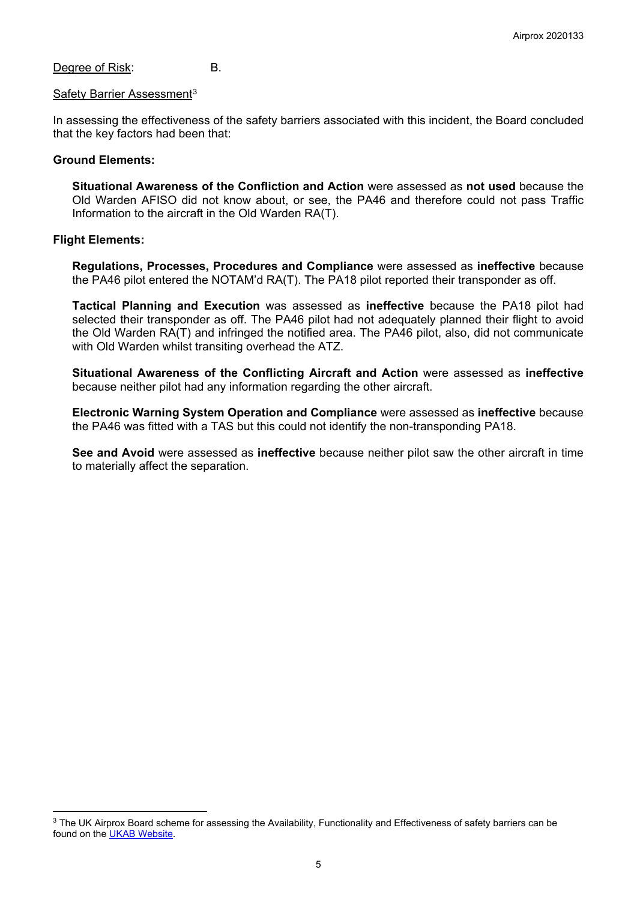Degree of Risk: B.

#### Safety Barrier Assessment<sup>[3](#page-4-0)</sup>

In assessing the effectiveness of the safety barriers associated with this incident, the Board concluded that the key factors had been that:

#### **Ground Elements:**

**Situational Awareness of the Confliction and Action** were assessed as **not used** because the Old Warden AFISO did not know about, or see, the PA46 and therefore could not pass Traffic Information to the aircraft in the Old Warden RA(T).

#### **Flight Elements:**

**Regulations, Processes, Procedures and Compliance** were assessed as **ineffective** because the PA46 pilot entered the NOTAM'd RA(T). The PA18 pilot reported their transponder as off.

**Tactical Planning and Execution** was assessed as **ineffective** because the PA18 pilot had selected their transponder as off. The PA46 pilot had not adequately planned their flight to avoid the Old Warden RA(T) and infringed the notified area. The PA46 pilot, also, did not communicate with Old Warden whilst transiting overhead the ATZ.

**Situational Awareness of the Conflicting Aircraft and Action** were assessed as **ineffective** because neither pilot had any information regarding the other aircraft.

**Electronic Warning System Operation and Compliance** were assessed as **ineffective** because the PA46 was fitted with a TAS but this could not identify the non-transponding PA18.

**See and Avoid** were assessed as **ineffective** because neither pilot saw the other aircraft in time to materially affect the separation.

<span id="page-4-0"></span><sup>&</sup>lt;sup>3</sup> The UK Airprox Board scheme for assessing the Availability, Functionality and Effectiveness of safety barriers can be found on the [UKAB Website.](http://www.airproxboard.org.uk/Learn-more/Airprox-Barrier-Assessment/)